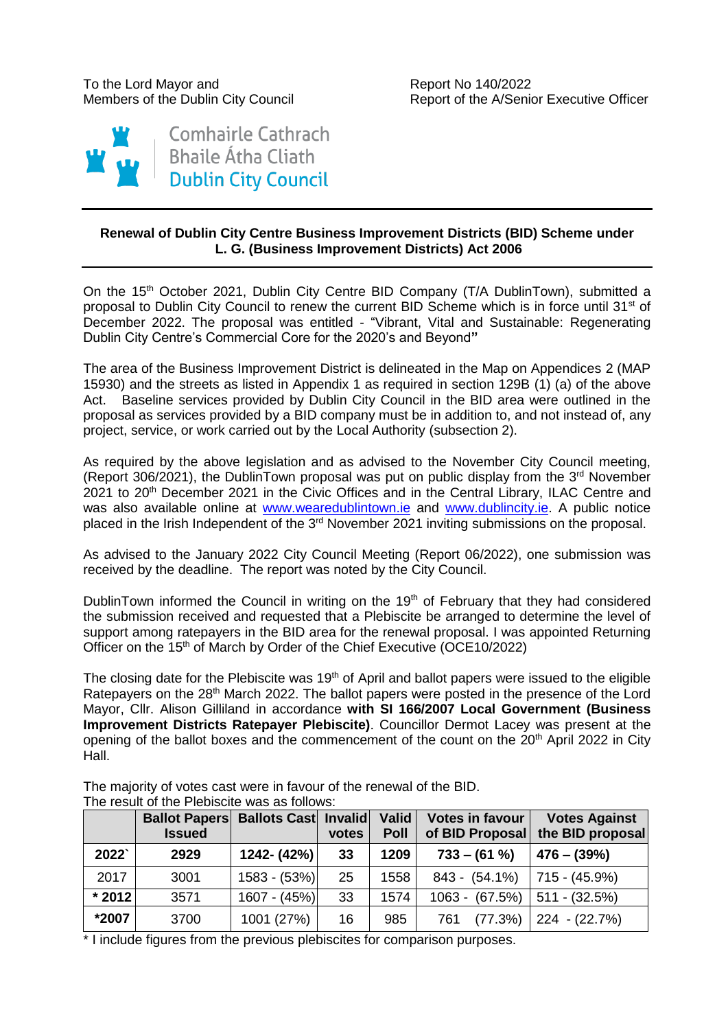Members of the Dublin City Council **Report of the A/Senior Executive Officer** 



## **Renewal of Dublin City Centre Business Improvement Districts (BID) Scheme under L. G. (Business Improvement Districts) Act 2006**

On the 15<sup>th</sup> October 2021, Dublin City Centre BID Company (T/A DublinTown), submitted a proposal to Dublin City Council to renew the current BID Scheme which is in force until 31<sup>st</sup> of December 2022. The proposal was entitled - "Vibrant, Vital and Sustainable: Regenerating Dublin City Centre's Commercial Core for the 2020's and Beyond**"**

The area of the Business Improvement District is delineated in the Map on Appendices 2 (MAP 15930) and the streets as listed in Appendix 1 as required in section 129B (1) (a) of the above Act. Baseline services provided by Dublin City Council in the BID area were outlined in the proposal as services provided by a BID company must be in addition to, and not instead of, any project, service, or work carried out by the Local Authority (subsection 2).

As required by the above legislation and as advised to the November City Council meeting, (Report 306/2021), the Dublin Town proposal was put on public display from the  $3<sup>rd</sup>$  November 2021 to 20<sup>th</sup> December 2021 in the Civic Offices and in the Central Library, ILAC Centre and was also available online at [www.wearedublintown.ie](http://www.wearedublintown.ie/) and [www.dublincity.ie.](http://www.dublincity.ie/) A public notice placed in the Irish Independent of the 3<sup>rd</sup> November 2021 inviting submissions on the proposal.

As advised to the January 2022 City Council Meeting (Report 06/2022), one submission was received by the deadline. The report was noted by the City Council.

DublinTown informed the Council in writing on the 19<sup>th</sup> of February that they had considered the submission received and requested that a Plebiscite be arranged to determine the level of support among ratepayers in the BID area for the renewal proposal. I was appointed Returning Officer on the 15<sup>th</sup> of March by Order of the Chief Executive (OCE10/2022)

The closing date for the Plebiscite was  $19<sup>th</sup>$  of April and ballot papers were issued to the eligible Ratepayers on the 28<sup>th</sup> March 2022. The ballot papers were posted in the presence of the Lord Mayor, Cllr. Alison Gilliland in accordance **with SI 166/2007 Local Government (Business Improvement Districts Ratepayer Plebiscite)**. Councillor Dermot Lacey was present at the opening of the ballot boxes and the commencement of the count on the 20<sup>th</sup> April 2022 in City Hall.

|          | <b>Ballot Papers Ballots Cast Invalid</b><br><b>Issued</b> |                | votes | Valid<br><b>Poll</b> | <b>Votes in favour</b><br>of BID Proposal | <b>Votes Against</b><br>the BID proposal |
|----------|------------------------------------------------------------|----------------|-------|----------------------|-------------------------------------------|------------------------------------------|
| 2022     | 2929                                                       | 1242- (42%)    | 33    | 1209                 | $733 - (61%)$                             | $476 - (39%)$                            |
| 2017     | 3001                                                       | $1583 - (53%)$ | 25    | 1558                 | $843 - (54.1\%)$                          | 715 - (45.9%)                            |
| $*$ 2012 | 3571                                                       | $1607 - (45%)$ | 33    | 1574                 | $1063 - (67.5%)$                          | $511 - (32.5%)$                          |
| *2007    | 3700                                                       | 1001 (27%)     | 16    | 985                  | (77.3%)<br>761                            | 224 - (22.7%)                            |

The majority of votes cast were in favour of the renewal of the BID. The result of the Plebiscite was as follows:

\* I include figures from the previous plebiscites for comparison purposes.